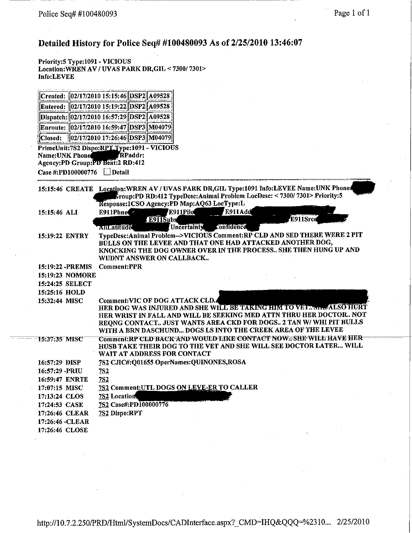# Detailed History for Police Seq# #100480093 As of 2/25/2010 13:46:07

Priority: 5 Type: 1091 - VICIOUS<br>Location: WREN AV / UVAS PARK DR, GIL < 7300/7301> Info:LEVEE

|                 | Created: 02/17/2010 15:15:46 DSP2 A09528                                        |         |  |
|-----------------|---------------------------------------------------------------------------------|---------|--|
|                 | Entered: 02/17/2010 15:19:22 DSP2 A09528                                        |         |  |
|                 | Dispatch: 02/17/2010 16:57:29 DSP2 A09528                                       |         |  |
|                 | Enroute: 02/17/2010 16:59:47 DSP3 M04079                                        |         |  |
|                 | Closed:   02/17/2010 17:26:46 DSP3 M04079                                       |         |  |
| Name: UNK Phone | PrimeUnit:7S2 Dispo:RPT Type:1091 - VICIOUS<br>Agency:PD Group:PD Beat:2 RD:412 | RPaddr: |  |
|                 | Case #:PD100000776                                                              | Detail  |  |

|                   | 15:15:46 CREATE Location: WREN AV / UVAS PARK DR, GIL Type:1091 Info: LEVEE Name: UNK Phone |
|-------------------|---------------------------------------------------------------------------------------------|
|                   | Group:PD RD:412 TypeDesc:Animal Problem LocDesc: < 7300/7301> Priority:5                    |
|                   | Response:1CSO Agency:PD Map:AQ63 LocType:L                                                  |
| 15:15:46 ALI      | E911Add<br>E911Pilo<br>E911Phne                                                             |
|                   | E911Srce<br><b>E911Subs</b>                                                                 |
|                   | tonfidence<br>Uncertainty<br>AILLatitude                                                    |
| 15:19:22 ENTRY    | TypeDesc:Animal Problem-->VICIOUS Comment:RP CLD AND SED THERE WERE 2 PIT                   |
|                   | BULLS ON THE LEVEE AND THAT ONE HAD ATTACKED ANOTHER DOG,                                   |
|                   | KNOCKING THE DOG OWNER OVER IN THE PROCESS SHE THEN HUNG UP AND                             |
|                   | WUDNT ANSWER ON CALLBACK                                                                    |
| 15:19:22 - PREMIS | <b>Comment:PPR</b>                                                                          |
| 15:19:23 NOMORE   |                                                                                             |
| 15:24:25 SELECT   |                                                                                             |
| 15:25:16 HOLD     |                                                                                             |
| 15:32:44 MISC     | <b>Comment: VIC OF DOG ATTACK CLD.</b>                                                      |
|                   | HER DOG WAS INJURED AND SHE WILL BE TAKING HIM TO VELGED  ALSO HURT                         |
|                   | HER WRIST IN FALL AND WILL BE SEEKING MED ATTN THRU HER DOCTOR NOT                          |
|                   | REQNG CONTACT JUST WANTS AREA CKD FOR DOGS 2 TAN W/ WHI PIT BULLS                           |
|                   | WITH A BRN DASCHUND DOGS LS INTO THE CREEK AREA OF THE LEVEE                                |
| 15:37:35 MISC     | Comment:RP CED BACK AND WOULD EIKE CONTACT NOW = SHE WILE HAVE HER-                         |
|                   | HUSB TAKE THEIR DOG TO THE VET AND SHE WILL SEE DOCTOR LATER WILL                           |
|                   | <b>WAIT AT ADDRESS FOR CONTACT</b>                                                          |
| 16:57:29 DISP     | 7S2 CJIC#:Q01655 OperNames:QUINONES,ROSA                                                    |
| 16:57:29 -PRIU    | 7S2                                                                                         |
| 16:59:47 ENRTE    | <b>7S2</b>                                                                                  |
| 17:07:15 MISC     | 7S2 Comment: UTL DOGS ON LEVE-ER TO CALLER                                                  |
| 17:13:24 CLOS     | <b>7S2 Location</b>                                                                         |
| 17:24:53 CASE     | 7S2 Case#:PD100000776                                                                       |
| 17:26:46 CLEAR    | 7S2 Dispo:RPT                                                                               |
| 17:26:46 - CLEAR  |                                                                                             |
|                   |                                                                                             |
| 17:26:46 CLOSE    |                                                                                             |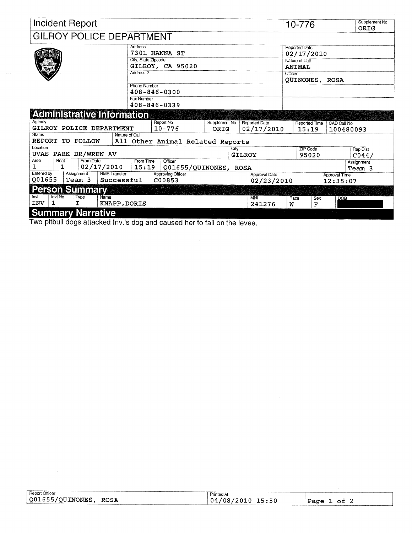|               |              | <b>Incident Report</b>            |                     |                            |                                  |               |                |                      |         | 10-776                             |                      | Supplement No<br>ORIG |
|---------------|--------------|-----------------------------------|---------------------|----------------------------|----------------------------------|---------------|----------------|----------------------|---------|------------------------------------|----------------------|-----------------------|
|               |              | <b>GILROY POLICE DEPARTMENT</b>   |                     |                            |                                  |               |                |                      |         |                                    |                      |                       |
|               |              |                                   |                     | Address                    | 7301 HANNA ST                    |               |                |                      |         | <b>Reported Date</b><br>02/17/2010 |                      |                       |
|               |              |                                   |                     | City, State Zipcode        | GILROY, CA 95020                 |               |                |                      |         | Nature of Call<br><b>ANIMAL</b>    |                      |                       |
|               |              |                                   |                     | Address 2                  |                                  |               |                |                      | Officer | QUINONES, ROSA                     |                      |                       |
|               |              |                                   |                     | Phone Number<br>Fax Number | $408 - 846 - 0300$               |               |                |                      |         |                                    |                      |                       |
|               |              |                                   |                     |                            | 408-846-0339                     |               |                |                      |         |                                    |                      |                       |
|               |              | <b>Administrative Information</b> |                     |                            |                                  |               |                |                      |         |                                    |                      |                       |
| Agency        |              |                                   |                     |                            | Report No                        | Supplement No |                | <b>Reported Date</b> |         | <b>Reported Time</b>               | <b>CAD Call No</b>   |                       |
| <b>Status</b> |              | GILROY POLICE DEPARTMENT          |                     | Nature of Call             | $10 - 776$                       | ORIG          |                | 02/17/2010           |         | 15:19                              | 100480093            |                       |
|               |              | REPORT TO FOLLOW                  |                     |                            | All Other Animal Related Reports |               |                |                      |         |                                    |                      |                       |
| Location      |              | UVAS PARK DR/WREN AV              |                     |                            |                                  |               | City<br>GILROY |                      |         | ZIP Code                           |                      | <b>Rep Dist</b>       |
| Area          | Beat         | From Date                         |                     | From Time                  | Officer                          |               |                |                      |         | 95020                              |                      | CO44/<br>Assignment   |
| $\mathbf{1}$  | $\mathbf{1}$ |                                   | 02/17/2010          | 15:19                      | Q01655/QUINONES, ROSA            |               |                |                      |         |                                    |                      | Team 3                |
| Entered by    |              | Assignment                        | <b>RMS Transfer</b> |                            | <b>Approving Officer</b>         |               |                | <b>Approval Date</b> |         |                                    | <b>Approval Time</b> |                       |
| Q01655        |              | Team 3                            | Successful          |                            | C00853                           |               |                | 02/23/2010           |         |                                    | 12:35:07             |                       |
|               |              | <b>Person Summary</b>             |                     |                            |                                  |               |                |                      |         |                                    |                      |                       |
| invi          | Invl No      | Type                              | Name                |                            |                                  |               |                | MNI                  | Race    | Sex                                | <b>DOB</b>           |                       |
| <b>INV</b>    | 1            | I.                                | KNAPP, DORIS        |                            |                                  |               |                | 241276               | W       | F                                  |                      |                       |
|               |              | <b>Summary Narrative</b>          |                     |                            |                                  |               |                |                      |         |                                    |                      |                       |

 $\bar{\mathcal{A}}$ 

Two pitbull dogs attacked Inv.'s dog and caused her to fall on the levee.

| <b>Report Officer</b>            | Printed At              |                 |
|----------------------------------|-------------------------|-----------------|
| $\sqrt{Q01655/QU1NONES}$<br>ROSA | 15:50<br>/08/2010<br>04 | Page<br>оt<br>- |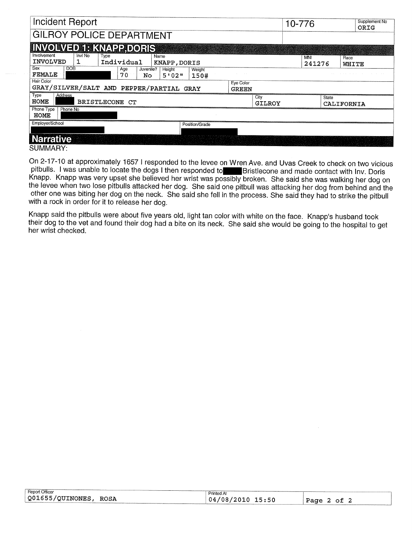| <b>Incident Report</b>                                                                                                  |                           | 10-776 |               |               | Supplement No<br>ORIG |
|-------------------------------------------------------------------------------------------------------------------------|---------------------------|--------|---------------|---------------|-----------------------|
| <b>GILROY POLICE DEPARTMENT</b>                                                                                         |                           |        |               |               |                       |
| <b>INVOLVED 1: KNAPP, DORIS</b>                                                                                         |                           |        |               |               |                       |
| Involvement<br>Invl No<br>Name<br>Type<br>INVOLVED<br>Individual<br>ı<br>KNAPP, DORIS                                   |                           |        | MNI<br>241276 | Race<br>WHITE |                       |
| Sex<br><b>DOB</b><br>Age<br>Juvenile?<br>Height<br>Weight<br>FEMALE<br>70<br>5'02''<br>No.<br>150#<br><b>Hair Color</b> |                           |        |               |               |                       |
| GRAY/SILVER/SALT AND PEPPER/PARTIAL GRAY                                                                                | Eye Color<br><b>GREEN</b> |        |               |               |                       |
| Type<br>Address<br>HOME<br><b>BRISTLECONE CT</b>                                                                        | City<br>GILROY            |        | State         | CALIFORNIA    |                       |
| Phone Type<br>Phone No<br>HOME                                                                                          |                           |        |               |               |                       |
| Employer/School<br>Position/Grade                                                                                       |                           |        |               |               |                       |
| <b>Narrative</b>                                                                                                        |                           |        |               |               |                       |

SUMMARY:

On 2-17-10 at approximately 1657 I responded to the levee on Wren Ave. and Uvas Creek to check on two vicious<br>pitbulls. I was unable to locate the dogs I then responded to Bristlecone and made contact with Inv. Doris Knapp. Knapp was very upset she believed her wrist was possibly broken. She said she was walking her dog on the levee when two lose pitbulls attacked her dog. She said one pitbull was attacking her dog from behind and the other one was biting her dog on the neck. She said she fell in the process. She said they had to strike the pitbull with a rock in order for it to release her dog.

Knapp said the pitbulls were about five years old, light tan color with white on the face. Knapp's husband took their dog to the vet and found their dog had a bite on its neck. She said she would be going to the hospital to get her wrist checked.

| Report Officer                     | $-1$<br><b>Printed At</b> |                 |
|------------------------------------|---------------------------|-----------------|
| $\sqrt{Q01655/QU1}$ NONES,<br>ROSA | $/08/2010$ 15:50<br>'04,  | Page<br>ot<br>4 |
|                                    |                           |                 |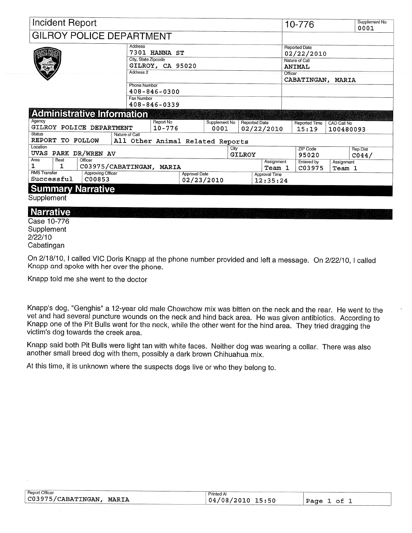| <b>Incident Report</b>                                                  |                                                    |                                    |                       |                      |                           | 10-776                             |                          | Supplement No<br>0001               |
|-------------------------------------------------------------------------|----------------------------------------------------|------------------------------------|-----------------------|----------------------|---------------------------|------------------------------------|--------------------------|-------------------------------------|
| <b>GILROY POLICE DEPARTMENT</b>                                         |                                                    |                                    |                       |                      |                           |                                    |                          |                                     |
|                                                                         | Address<br>7301 HANNA ST<br>City, State Zipcode    |                                    |                       |                      |                           | <b>Reported Date</b><br>02/22/2010 |                          |                                     |
|                                                                         | GILROY, CA 95020                                   |                                    |                       |                      |                           | Nature of Call<br><b>ANIMAL</b>    |                          |                                     |
|                                                                         | Address 2                                          |                                    |                       |                      |                           | Officer<br>CABATINGAN, MARIA       |                          |                                     |
|                                                                         | Phone Number<br>$408 - 846 - 0300$                 |                                    |                       |                      |                           |                                    |                          |                                     |
|                                                                         | <b>Fax Number</b><br>$408 - 846 - 0339$            |                                    |                       |                      |                           |                                    |                          |                                     |
| <b>Administrative Information</b>                                       |                                                    |                                    |                       |                      |                           |                                    |                          |                                     |
| Agency<br>GILROY POLICE DEPARTMENT                                      | Report No<br>$10 - 776$                            |                                    | Supplement No<br>0001 | <b>Reported Date</b> | 02/22/2010                | Reported Time<br>15:19             | CAD Call No<br>100480093 |                                     |
| <b>Status</b><br>REPORT TO FOLLOW                                       | Nature of Call<br>All Other Animal Related Reports |                                    |                       |                      |                           |                                    |                          |                                     |
| Location<br>PARK DR/WREN AV<br>UVAS                                     |                                                    |                                    |                       | City<br>GILROY       |                           | ZIP Code<br>95020                  |                          | <b>Rep Dist</b><br>CO <sub>44</sub> |
| Area<br>Officer<br>Beat<br>1<br>1                                       | C03975/CABATINGAN, MARIA                           |                                    |                       |                      | Assignment<br>Team 1      | Entered by<br>C03975               | Assignment<br>Team 1     |                                     |
| <b>RMS Transfer</b><br><b>Approving Officer</b><br>Successful<br>C00853 |                                                    | <b>Approval Date</b><br>02/23/2010 |                       |                      | Approval Time<br>12:35:24 |                                    |                          |                                     |
| <b>Summary Narrative</b>                                                |                                                    |                                    |                       |                      |                           |                                    |                          |                                     |
| Supplement                                                              |                                                    |                                    |                       |                      |                           |                                    |                          |                                     |

## **Narrative**

Case 10-776 Supplement  $2/22/10$ Cabatingan

On 2/18/10, I called VIC Doris Knapp at the phone number provided and left a message. On 2/22/10, I called Knapp and spoke with her over the phone.

Knapp told me she went to the doctor

Knapp's dog, "Genghis" a 12-year old male Chowchow mix was bitten on the neck and the rear. He went to the vet and had several puncture wounds on the neck and hind back area. He was given antibiotics. According to Knapp one of the Pit Bulls went for the neck, while the other went for the hind area. They tried dragging the victim's dog towards the creek area.

Knapp said both Pit Bulls were light tan with white faces. Neither dog was wearing a collar. There was also another small breed dog with them, possibly a dark brown Chihuahua mix.

At this time, it is unknown where the suspects dogs live or who they belong to.

| Report Officer                          | <sup>O</sup> rinted      |                        |
|-----------------------------------------|--------------------------|------------------------|
| C03975/CABATINGAN<br>MARIA<br>_________ | ./08/2010<br>15:50<br>04 | Page<br>ി <del>പ</del> |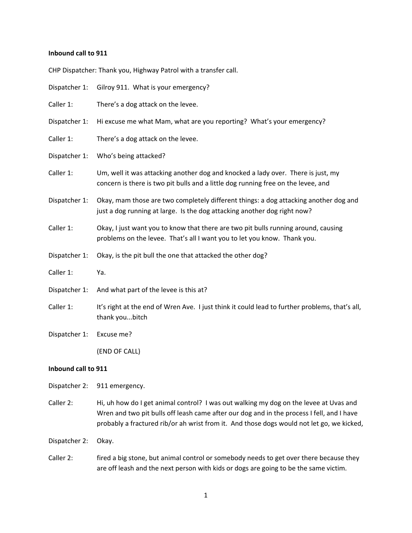#### **Inbound call to 911**

CHP Dispatcher: Thank you, Highway Patrol with a transfer call.

| Dispatcher 1: | Gilroy 911. What is your emergency?                                                                                                                                   |
|---------------|-----------------------------------------------------------------------------------------------------------------------------------------------------------------------|
| Caller 1:     | There's a dog attack on the levee.                                                                                                                                    |
| Dispatcher 1: | Hi excuse me what Mam, what are you reporting? What's your emergency?                                                                                                 |
| Caller 1:     | There's a dog attack on the levee.                                                                                                                                    |
| Dispatcher 1: | Who's being attacked?                                                                                                                                                 |
| Caller 1:     | Um, well it was attacking another dog and knocked a lady over. There is just, my<br>concern is there is two pit bulls and a little dog running free on the levee, and |
| Dispatcher 1: | Okay, mam those are two completely different things: a dog attacking another dog and<br>just a dog running at large. Is the dog attacking another dog right now?      |
| Caller 1:     | Okay, I just want you to know that there are two pit bulls running around, causing<br>problems on the levee. That's all I want you to let you know. Thank you.        |
| Dispatcher 1: | Okay, is the pit bull the one that attacked the other dog?                                                                                                            |
| Caller 1:     | Ya.                                                                                                                                                                   |
| Dispatcher 1: | And what part of the levee is this at?                                                                                                                                |
| Caller 1:     | It's right at the end of Wren Ave. I just think it could lead to further problems, that's all,<br>thank youbitch                                                      |
| Dispatcher 1: | Excuse me?                                                                                                                                                            |
|               | (END OF CALL)                                                                                                                                                         |

# **Inbound call to 911**

Dispatcher 2: 911 emergency.

Caller 2: Hi, uh how do I get animal control? I was out walking my dog on the levee at Uvas and Wren and two pit bulls off leash came after our dog and in the process I fell, and I have probably a fractured rib/or ah wrist from it. And those dogs would not let go, we kicked,

Dispatcher 2: Okay.

Caller 2: fired a big stone, but animal control or somebody needs to get over there because they are off leash and the next person with kids or dogs are going to be the same victim.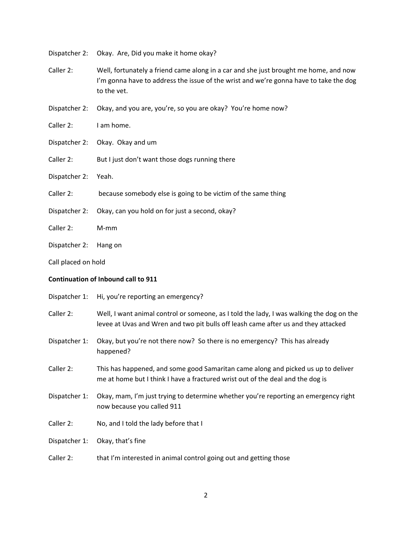Dispatcher 2: Okay. Are, Did you make it home okay?

- Caller 2: Well, fortunately a friend came along in a car and she just brought me home, and now I'm gonna have to address the issue of the wrist and we're gonna have to take the dog to the vet.
- Dispatcher 2: Okay, and you are, you're, so you are okay? You're home now?

Caller 2: I am home.

- Dispatcher 2: Okay. Okay and um
- Caller 2: But I just don't want those dogs running there
- Dispatcher 2: Yeah.
- Caller 2: because somebody else is going to be victim of the same thing
- Dispatcher 2: Okay, can you hold on for just a second, okay?
- Caller 2: M‐mm
- Dispatcher 2: Hang on
- Call placed on hold

## **Continuation of Inbound call to 911**

|               | Dispatcher 1: Hi, you're reporting an emergency?                                                                                                                               |
|---------------|--------------------------------------------------------------------------------------------------------------------------------------------------------------------------------|
| Caller 2:     | Well, I want animal control or someone, as I told the lady, I was walking the dog on the<br>levee at Uvas and Wren and two pit bulls off leash came after us and they attacked |
| Dispatcher 1: | Okay, but you're not there now? So there is no emergency? This has already<br>happened?                                                                                        |
| Caller 2:     | This has happened, and some good Samaritan came along and picked us up to deliver<br>me at home but I think I have a fractured wrist out of the deal and the dog is            |
| Dispatcher 1: | Okay, mam, I'm just trying to determine whether you're reporting an emergency right<br>now because you called 911                                                              |
| Caller 2:     | No, and I told the lady before that I                                                                                                                                          |
| Dispatcher 1: | Okay, that's fine                                                                                                                                                              |

Caller 2: that I'm interested in animal control going out and getting those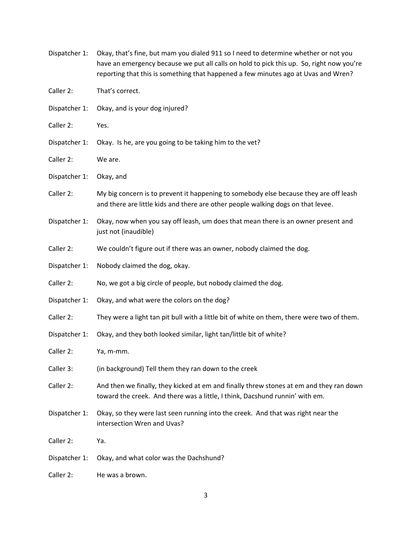| Dispatcher 1: | Okay, that's fine, but mam you dialed 911 so I need to determine whether or not you<br>have an emergency because we put all calls on hold to pick this up. So, right now you're<br>reporting that this is something that happened a few minutes ago at Uvas and Wren? |
|---------------|-----------------------------------------------------------------------------------------------------------------------------------------------------------------------------------------------------------------------------------------------------------------------|
| Caller 2:     | That's correct.                                                                                                                                                                                                                                                       |
| Dispatcher 1: | Okay, and is your dog injured?                                                                                                                                                                                                                                        |
| Caller 2:     | Yes.                                                                                                                                                                                                                                                                  |
| Dispatcher 1: | Okay. Is he, are you going to be taking him to the vet?                                                                                                                                                                                                               |
| Caller 2:     | We are.                                                                                                                                                                                                                                                               |
| Dispatcher 1: | Okay, and                                                                                                                                                                                                                                                             |
| Caller 2:     | My big concern is to prevent it happening to somebody else because they are off leash<br>and there are little kids and there are other people walking dogs on that levee.                                                                                             |
| Dispatcher 1: | Okay, now when you say off leash, um does that mean there is an owner present and<br>just not (inaudible)                                                                                                                                                             |
| Caller 2:     | We couldn't figure out if there was an owner, nobody claimed the dog.                                                                                                                                                                                                 |
| Dispatcher 1: | Nobody claimed the dog, okay.                                                                                                                                                                                                                                         |
| Caller 2:     | No, we got a big circle of people, but nobody claimed the dog.                                                                                                                                                                                                        |
| Dispatcher 1: | Okay, and what were the colors on the dog?                                                                                                                                                                                                                            |
| Caller 2:     | They were a light tan pit bull with a little bit of white on them, there were two of them.                                                                                                                                                                            |
| Dispatcher 1: | Okay, and they both looked similar, light tan/little bit of white?                                                                                                                                                                                                    |
| Caller 2:     | Ya, m-mm.                                                                                                                                                                                                                                                             |
| Caller 3:     | (in background) Tell them they ran down to the creek                                                                                                                                                                                                                  |
| Caller 2:     | And then we finally, they kicked at em and finally threw stones at em and they ran down<br>toward the creek. And there was a little, I think, Dacshund runnin' with em.                                                                                               |
| Dispatcher 1: | Okay, so they were last seen running into the creek. And that was right near the<br>intersection Wren and Uvas?                                                                                                                                                       |
| Caller 2:     | Ya.                                                                                                                                                                                                                                                                   |
| Dispatcher 1: | Okay, and what color was the Dachshund?                                                                                                                                                                                                                               |
| Caller 2:     | He was a brown.                                                                                                                                                                                                                                                       |

3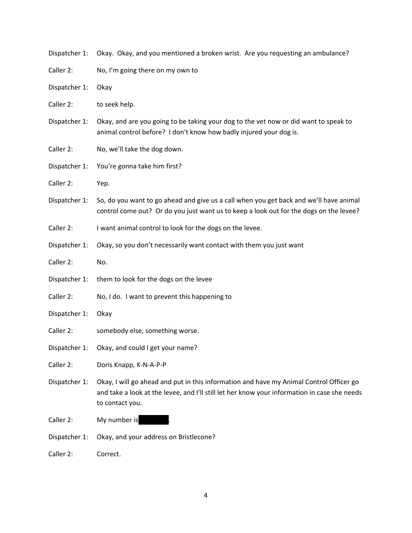| Dispatcher 1: | Okay. Okay, and you mentioned a broken wrist. Are you requesting an ambulance?                                                                                                                             |
|---------------|------------------------------------------------------------------------------------------------------------------------------------------------------------------------------------------------------------|
| Caller 2:     | No, I'm going there on my own to                                                                                                                                                                           |
| Dispatcher 1: | Okay                                                                                                                                                                                                       |
| Caller 2:     | to seek help.                                                                                                                                                                                              |
| Dispatcher 1: | Okay, and are you going to be taking your dog to the vet now or did want to speak to<br>animal control before? I don't know how badly injured your dog is.                                                 |
| Caller 2:     | No, we'll take the dog down.                                                                                                                                                                               |
| Dispatcher 1: | You're gonna take him first?                                                                                                                                                                               |
| Caller 2:     | Yep.                                                                                                                                                                                                       |
| Dispatcher 1: | So, do you want to go ahead and give us a call when you get back and we'll have animal<br>control come out? Or do you just want us to keep a look out for the dogs on the levee?                           |
| Caller 2:     | I want animal control to look for the dogs on the levee.                                                                                                                                                   |
| Dispatcher 1: | Okay, so you don't necessarily want contact with them you just want                                                                                                                                        |
| Caller 2:     | No.                                                                                                                                                                                                        |
| Dispatcher 1: | them to look for the dogs on the levee                                                                                                                                                                     |
| Caller 2:     | No, I do. I want to prevent this happening to                                                                                                                                                              |
|               |                                                                                                                                                                                                            |
| Dispatcher 1: | Okay                                                                                                                                                                                                       |
| Caller 2:     | somebody else, something worse.                                                                                                                                                                            |
| Dispatcher 1: | Okay, and could I get your name?                                                                                                                                                                           |
| Caller 2:     | Doris Knapp, K-N-A-P-P                                                                                                                                                                                     |
| Dispatcher 1: | Okay, I will go ahead and put in this information and have my Animal Control Officer go<br>and take a look at the levee, and I'll still let her know your information in case she needs<br>to contact you. |
| Caller 2:     | My number is                                                                                                                                                                                               |
| Dispatcher 1: | Okay, and your address on Bristlecone?                                                                                                                                                                     |

4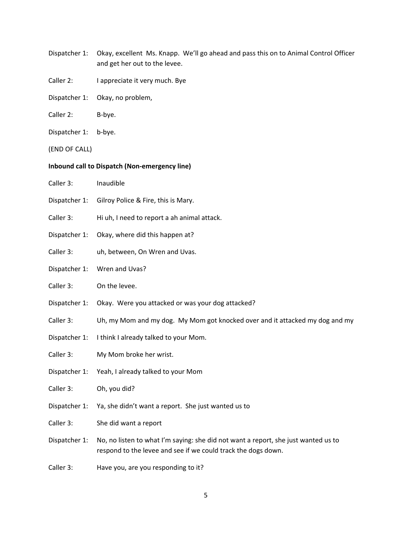- Dispatcher 1: Okay, excellent Ms. Knapp. We'll go ahead and pass this on to Animal Control Officer and get her out to the levee.
- Caller 2: I appreciate it very much. Bye
- Dispatcher 1: Okay, no problem,
- Caller 2: B-bye.
- Dispatcher 1: b-bye.
- (END OF CALL)

# **Inbound call to Dispatch (Non‐emergency line)**

- Caller 3: Inaudible
- Dispatcher 1: Gilroy Police & Fire, this is Mary.
- Caller 3: Hi uh, I need to report a ah animal attack.
- Dispatcher 1: Okay, where did this happen at?
- Caller 3: uh, between, On Wren and Uvas.
- Dispatcher 1: Wren and Uvas?
- Caller 3: On the levee.
- Dispatcher 1: Okay. Were you attacked or was your dog attacked?
- Caller 3: Uh, my Mom and my dog. My Mom got knocked over and it attacked my dog and my
- Dispatcher 1: I think I already talked to your Mom.
- Caller 3: My Mom broke her wrist.
- Dispatcher 1: Yeah, I already talked to your Mom
- Caller 3: Oh, you did?
- Dispatcher 1: Ya, she didn't want a report. She just wanted us to
- Caller 3: She did want a report
- Dispatcher 1: No, no listen to what I'm saying: she did not want a report, she just wanted us to respond to the levee and see if we could track the dogs down.
- Caller 3: Have you, are you responding to it?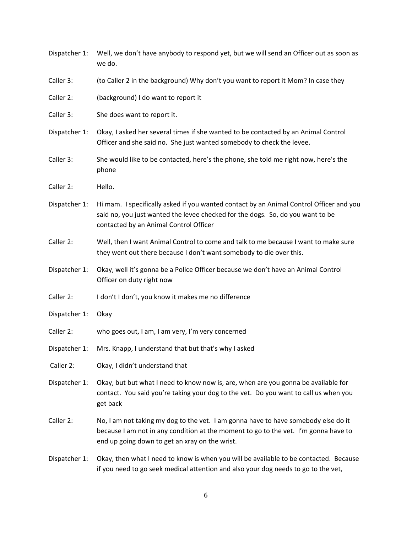| Dispatcher 1: | Well, we don't have anybody to respond yet, but we will send an Officer out as soon as<br>we do.                                                                                                                            |
|---------------|-----------------------------------------------------------------------------------------------------------------------------------------------------------------------------------------------------------------------------|
| Caller 3:     | (to Caller 2 in the background) Why don't you want to report it Mom? In case they                                                                                                                                           |
| Caller 2:     | (background) I do want to report it                                                                                                                                                                                         |
| Caller 3:     | She does want to report it.                                                                                                                                                                                                 |
| Dispatcher 1: | Okay, I asked her several times if she wanted to be contacted by an Animal Control<br>Officer and she said no. She just wanted somebody to check the levee.                                                                 |
| Caller 3:     | She would like to be contacted, here's the phone, she told me right now, here's the<br>phone                                                                                                                                |
| Caller 2:     | Hello.                                                                                                                                                                                                                      |
| Dispatcher 1: | Hi mam. I specifically asked if you wanted contact by an Animal Control Officer and you<br>said no, you just wanted the levee checked for the dogs. So, do you want to be<br>contacted by an Animal Control Officer         |
| Caller 2:     | Well, then I want Animal Control to come and talk to me because I want to make sure<br>they went out there because I don't want somebody to die over this.                                                                  |
| Dispatcher 1: | Okay, well it's gonna be a Police Officer because we don't have an Animal Control<br>Officer on duty right now                                                                                                              |
| Caller 2:     | I don't I don't, you know it makes me no difference                                                                                                                                                                         |
| Dispatcher 1: | Okay                                                                                                                                                                                                                        |
| Caller 2:     | who goes out, I am, I am very, I'm very concerned                                                                                                                                                                           |
| Dispatcher 1: | Mrs. Knapp, I understand that but that's why I asked                                                                                                                                                                        |
| Caller 2:     | Okay, I didn't understand that                                                                                                                                                                                              |
| Dispatcher 1: | Okay, but but what I need to know now is, are, when are you gonna be available for<br>contact. You said you're taking your dog to the vet. Do you want to call us when you<br>get back                                      |
| Caller 2:     | No, I am not taking my dog to the vet. I am gonna have to have somebody else do it<br>because I am not in any condition at the moment to go to the vet. I'm gonna have to<br>end up going down to get an xray on the wrist. |
| Dispatcher 1: | Okay, then what I need to know is when you will be available to be contacted. Because<br>if you need to go seek medical attention and also your dog needs to go to the vet,                                                 |

6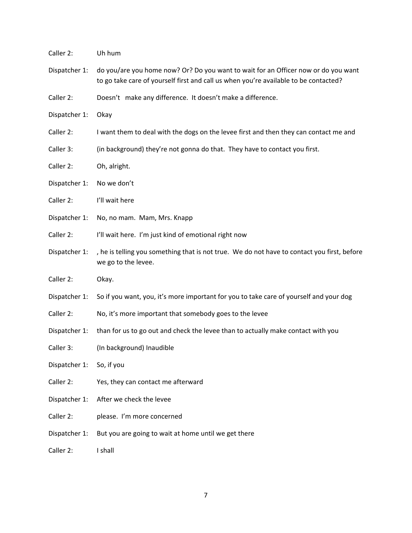| Caller 2:     | Uh hum                                                                                                                                                                     |
|---------------|----------------------------------------------------------------------------------------------------------------------------------------------------------------------------|
| Dispatcher 1: | do you/are you home now? Or? Do you want to wait for an Officer now or do you want<br>to go take care of yourself first and call us when you're available to be contacted? |
| Caller 2:     | Doesn't make any difference. It doesn't make a difference.                                                                                                                 |
| Dispatcher 1: | Okay                                                                                                                                                                       |
| Caller 2:     | I want them to deal with the dogs on the levee first and then they can contact me and                                                                                      |
| Caller 3:     | (in background) they're not gonna do that. They have to contact you first.                                                                                                 |
| Caller 2:     | Oh, alright.                                                                                                                                                               |
| Dispatcher 1: | No we don't                                                                                                                                                                |
| Caller 2:     | I'll wait here                                                                                                                                                             |
| Dispatcher 1: | No, no mam. Mam, Mrs. Knapp                                                                                                                                                |
| Caller 2:     | I'll wait here. I'm just kind of emotional right now                                                                                                                       |
| Dispatcher 1: | , he is telling you something that is not true. We do not have to contact you first, before<br>we go to the levee.                                                         |
| Caller 2:     | Okay.                                                                                                                                                                      |
| Dispatcher 1: | So if you want, you, it's more important for you to take care of yourself and your dog                                                                                     |
| Caller 2:     | No, it's more important that somebody goes to the levee                                                                                                                    |
| Dispatcher 1: | than for us to go out and check the levee than to actually make contact with you                                                                                           |
| Caller 3:     | (In background) Inaudible                                                                                                                                                  |
| Dispatcher 1: | So, if you                                                                                                                                                                 |
| Caller 2:     | Yes, they can contact me afterward                                                                                                                                         |
| Dispatcher 1: | After we check the levee                                                                                                                                                   |
| Caller 2:     | please. I'm more concerned                                                                                                                                                 |
| Dispatcher 1: | But you are going to wait at home until we get there                                                                                                                       |
| Caller 2:     | I shall                                                                                                                                                                    |